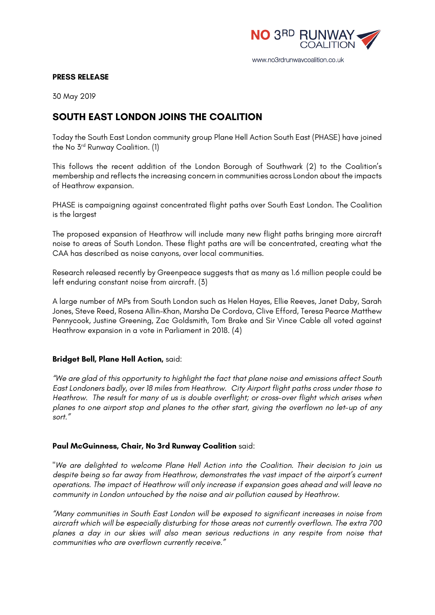

#### **PRESS RELEASE**

30 May 2019

# **SOUTH EAST LONDON JOINS THE COALITION**

Today the South East London community group Plane Hell Action South East (PHASE) have joined the No 3rd Runway Coalition. (1)

This follows the recent addition of the London Borough of Southwark (2) to the Coalition's membership and reflects the increasing concern in communities across London about the impacts of Heathrow expansion.

PHASE is campaigning against concentrated flight paths over South East London. The Coalition is the largest

The proposed expansion of Heathrow will include many new flight paths bringing more aircraft noise to areas of South London. These flight paths are will be concentrated, creating what the CAA has described as noise canyons, over local communities.

Research released recently by Greenpeace suggests that as many as 1.6 million people could be left enduring constant noise from aircraft. (3)

A large number of MPs from South London such as Helen Hayes, Ellie Reeves, Janet Daby, Sarah Jones, Steve Reed, Rosena Allin-Khan, Marsha De Cordova, Clive Efford, Teresa Pearce Matthew Pennycook, Justine Greening, Zac Goldsmith, Tom Brake and Sir Vince Cable all voted against Heathrow expansion in a vote in Parliament in 2018. (4)

## **Bridget Bell, Plane Hell Action,** said:

*"We are glad of this opportunity to highlight the fact that plane noise and emissions affect South East Londoners badly, over 18 miles from Heathrow. City Airport flight paths cross under those to Heathrow. The result for many of us is double overflight; or cross-over flight which arises when planes to one airport stop and planes to the other start, giving the overflown no let-up of any sort."*

## **Paul McGuinness, Chair, No 3rd Runway Coalition** said:

*"We are delighted to welcome Plane Hell Action into the Coalition. Their decision to join us despite being so far away from Heathrow, demonstrates the vast impact of the airport's current operations. The impact of Heathrow will only increase if expansion goes ahead and will leave no community in London untouched by the noise and air pollution caused by Heathrow.*

*"Many communities in South East London will be exposed to significant increases in noise from aircraft which will be especially disturbing for those areas not currently overflown. The extra 700 planes a day in our skies will also mean serious reductions in any respite from noise that communities who are overflown currently receive."*